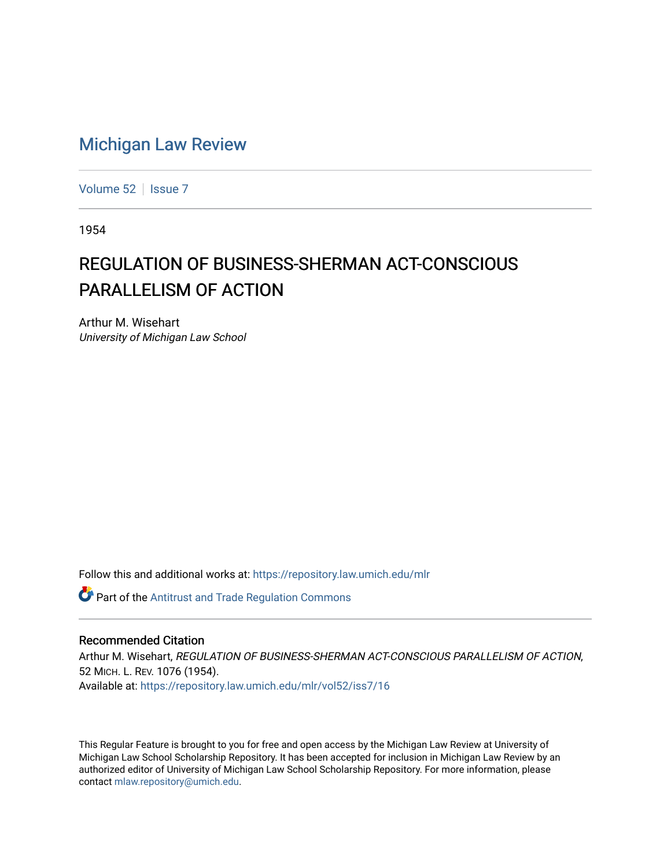## [Michigan Law Review](https://repository.law.umich.edu/mlr)

[Volume 52](https://repository.law.umich.edu/mlr/vol52) | [Issue 7](https://repository.law.umich.edu/mlr/vol52/iss7)

1954

## REGULATION OF BUSINESS-SHERMAN ACT-CONSCIOUS PARALLELISM OF ACTION

Arthur M. Wisehart University of Michigan Law School

Follow this and additional works at: [https://repository.law.umich.edu/mlr](https://repository.law.umich.edu/mlr?utm_source=repository.law.umich.edu%2Fmlr%2Fvol52%2Fiss7%2F16&utm_medium=PDF&utm_campaign=PDFCoverPages) 

**Part of the Antitrust and Trade Regulation Commons** 

## Recommended Citation

Arthur M. Wisehart, REGULATION OF BUSINESS-SHERMAN ACT-CONSCIOUS PARALLELISM OF ACTION, 52 MICH. L. REV. 1076 (1954). Available at: [https://repository.law.umich.edu/mlr/vol52/iss7/16](https://repository.law.umich.edu/mlr/vol52/iss7/16?utm_source=repository.law.umich.edu%2Fmlr%2Fvol52%2Fiss7%2F16&utm_medium=PDF&utm_campaign=PDFCoverPages) 

This Regular Feature is brought to you for free and open access by the Michigan Law Review at University of Michigan Law School Scholarship Repository. It has been accepted for inclusion in Michigan Law Review by an authorized editor of University of Michigan Law School Scholarship Repository. For more information, please contact [mlaw.repository@umich.edu](mailto:mlaw.repository@umich.edu).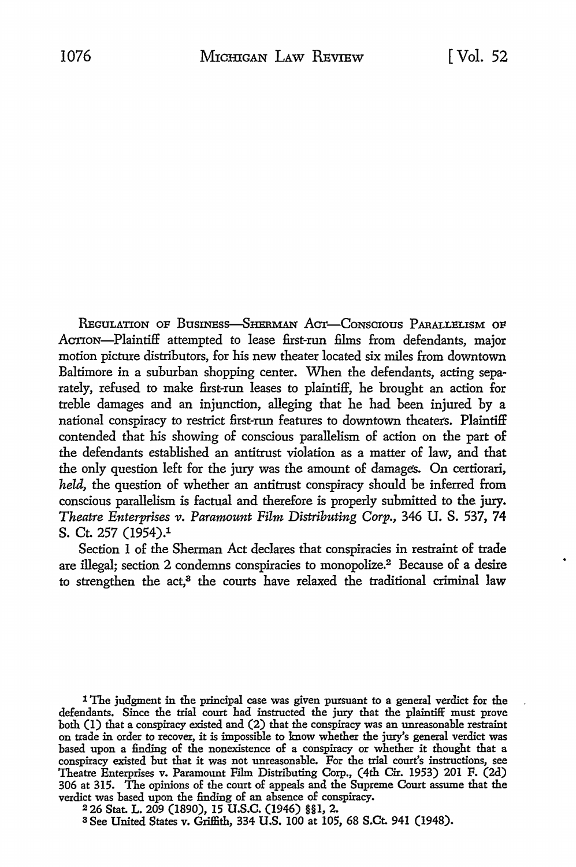REGULATION OF BUSINESS-SHERMAN ACT-CONSCIOUS PARALLELISM OF ACTION-Plaintiff attempted to lease first-run films from defendants, major motion picture distributors, for his new theater located six miles from downtown Baltimore in a suburban shopping center. When the defendants, acting separately, refused to make first-run leases to plaintiff, he brought an action for treble damages and an injunction, alleging that he had been injured by a national conspiracy to restrict first-run features to downtown theaters. Plaintiff contended that his showing of conscious parallelism of action on the part of the defendants established an antitrust violation as a matter of law, and that the only question left for the jury was the amount of damages. On certiorari, *held,* the question of whether an antitrust conspiracy should be inferred from conscious parallelism is factual and therefore is properly submitted to the jury. *Theatre Enterprises v. Paramount Film Distributing Corp., 346 U. S. 537, 74* S. Ct. 257 (1954).1

Section I of the Sherman Act declares that conspiracies in restraint of trade are illegal; section 2 condemns conspiracies to monopolize.2 Because of a desire to strengthen the act,<sup>3</sup> the courts have relaxed the traditional criminal law

1 The judgment in the principal case was given pursuant to a general verdict for the defendants. Since the trial court had instructed the jury that the plaintiff must prove both (1) that a conspiracy existed and (2) that the conspiracy was an unreasonable restraint on trade in order to recover, it is impossible to know whether the jury's general verdict was based upon a finding of the nonexistence of a conspiracy or whether it thought that a conspiracy existed but that it was not unreasonable. For the trial court's instructions, see Theatre Enterprises v. Paramount Film Distributing Corp., (4th Cir. 1953) 201 F. (2d) 306 at 315. The opinions of the court of appeals and the Supreme Court assume that the verdict was based upon the finding of an absence of conspiracy.

<sup>2</sup>26 Stat. L. 209 (1890), 15 U.S.C. (1946) §§1, 2.

a See United States v. Griffith, 334 U.S. 100 at 105, 68 S.Ct. 941 (1948).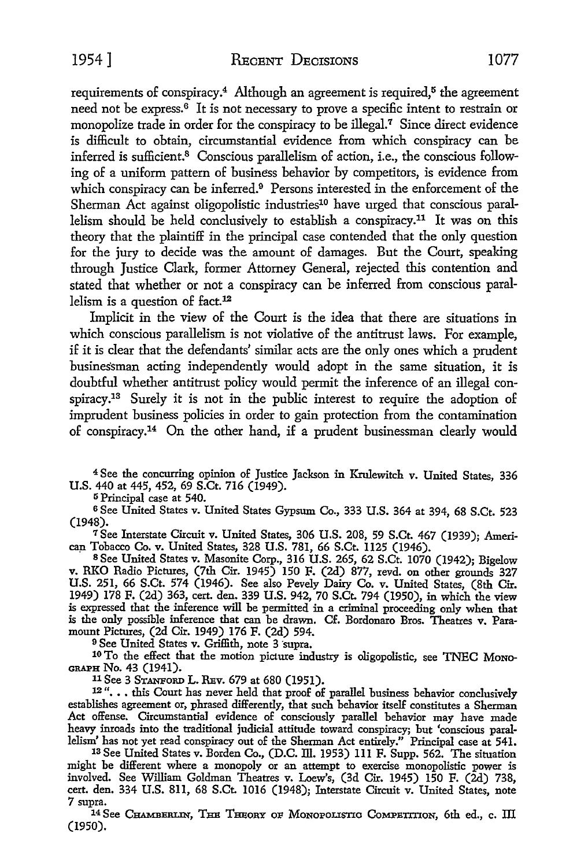1954] RECENT DECISIONS 1077

requirements of conspiracy.<sup>4</sup> Although an agreement is required,<sup>5</sup> the agreement need not be express.<sup>6</sup> It is not necessary to prove a specific intent to restrain or monopolize trade in order for the conspiracy to be illegal.<sup>7</sup> Since direct evidence is difficult to obtain, circumstantial evidence from which conspiracy can be inferred is sufficient.8 Conscious parallelism of action, i.e., the conscious following of a uniform pattern of business behavior by competitors, is evidence from which conspiracy can be inferred.<sup>9</sup> Persons interested in the enforcement of the Sherman Act against oligopolistic industries<sup>10</sup> have urged that conscious parallelism should be held conclusively to establish a conspiracy.11 It was on this theory that the plaintiff in the principal case contended that the only question for the jury to decide was the amount of damages. But the Court, speaking through Justice Clark, former Attorney General, rejected this contention and stated that whether or not a conspiracy can be inferred from conscious parallelism is a question of fact.<sup>12</sup>

Implicit in the view of the Court is the idea that there are situations in which conscious parallelism is not violative of the antitrust laws. For example, if it is clear that the defendants' similar acts are the only ones which a prudent businessman acting independently would adopt in the same situation, it is doubtful whether antitrust policy would permit the inference of an illegal conspiracy.13 Surely it is not in the public interest to require the adoption of imprudent business policies in order to gain protection from the contamination of conspiracy.14 On the other hand, if a prudent businessman clearly would

<sup>4</sup>See the concurring opinion of Justice Jackson in Krulewitch v. United States, 336 U.S. 440 at 445, 452, 69 S.Ct. 716 (1949).

5 Principal case at 540.

<sup>6</sup> See United States v. United States Gypsum Co., 333 U.S. 364 at 394, 68 S.Ct. 523 (1948).

<sup>7</sup>See Interstate Circuit v. United States, 306 U.S. 208, 59 S.Ct. 467 (1939); Ameri- can Tobacco Co. v. United States, 328 U.S. 781, 66 S.Ct. ll25 (1946).

s See United States v. Masonite Corp., 316 U.S. 265, 62 S.Ct. 1070 (1942); Bigelow v. RKO Radio Pictures, (7th Cir. 1945) 150 F. (2d) 877, revd. on other grounds 327 U.S. 251, 66 S.Ct. 574 (1946). See also Pevely Dairy Co. v. United States, (8th Cir. 1949) 178 F. (2d) 363, cert. den. 339 U.S. 942, 70 S.Ct. 794 (1950), in which the view is expressed that the inference will be permitted in a criminal proceeding only when that is the only possible inference that can be drawn. Cf. Bordonaro Bros. Theatres v. Paramount Pictures, (2d Cir. 1949) 176 F. (2d) 594.<br><sup>9</sup> See United States v. Griffith, note 3 supra.

<sup>10</sup> To the effect that the motion picture industry is oligopolistic, see TNEC Mono-GRAPH No. 43 (1941).

<sup>11</sup>See 3 STANFORD L. REv. 679 at 680 (1951).

12"... this Court has never held that proof of parallel business behavior conclusively establishes agreement or, phrased differently, that such behavior itself constitutes a Sherman Act offense. Circumstantial evidence of consciously parallel behavior may have made heavy inroads into the traditional judicial attitude toward conspiracy; but 'conscious parallelism' has not yet read conspiracy out of the Sherman Act entirely." Principal case at 541.

13 See United States v. Borden Co., (D.C. lli. 1953) Ill F. Supp. 562. The situation might be different where a monopoly or an attempt to exercise monopolistic power is involved. See William Goldman Theatres v. Loew's, (3d Cir. 1945) 150 F. (2d) 738, cert. den. 334 U.S. 811, 68 S.Ct. 1016 (1948); Interstate Circuit v. United States, note 7 supra.

14 See CHAMBERLIN, THE THEORY OF MONOPOLISTIC COMPETITION, 6th ed., c. III (1950).